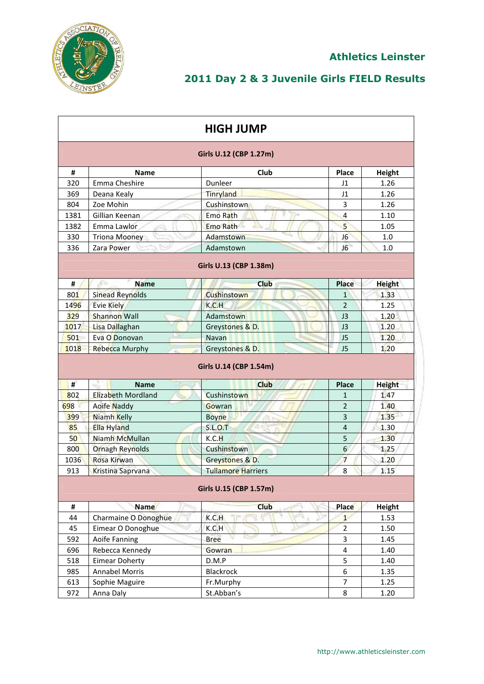

|      |                          | <b>HIGH JUMP</b>                      |                         |               |
|------|--------------------------|---------------------------------------|-------------------------|---------------|
|      |                          | Girls U.12 (CBP 1.27m)                |                         |               |
| #    | <b>Name</b>              | Club                                  | Place                   | Height        |
| 320  | Emma Cheshire            | Dunleer                               | J1                      | 1.26          |
| 369  | Deana Kealy              | Tinryland                             | J1                      | 1.26          |
| 804  | Zoe Mohin                | Cushinstown                           | 3                       | 1.26          |
| 1381 | Gillian Keenan           | Emo Rath                              | 4                       | 1.10          |
| 1382 | Emma Lawlor              | <b>Emo Rath</b>                       | 5                       | 1.05          |
| 330  | <b>Triona Mooney</b>     | Adamstown                             | J6                      | 1.0           |
| 336  | Zara Power               | Adamstown                             | J6                      | 1.0           |
|      |                          | Girls U.13 (CBP 1.38m)                |                         |               |
| #    | £.<br><b>Name</b>        | <b>Club</b>                           | Place                   | <b>Height</b> |
| 801  | <b>Sinead Reynolds</b>   | Cushinstown                           | $\mathbf{1}$            | 1.33          |
| 1496 | <b>Evie Kiely</b>        | K.C.H                                 | $\overline{2}$          | 1.25          |
| 329  | <b>Shannon Wall</b>      | Adamstown                             | J3                      | 1.20          |
| 1017 | Lisa Dallaghan           | Greystones & D.                       | J3                      | 1.20          |
| 501  | Eva O Donovan            | Navan                                 | J <sub>5</sub>          | 1.20          |
| 1018 | <b>Rebecca Murphy</b>    | Greystones & D.                       | J <sub>5</sub>          | 1.20          |
| #    | <b>Name</b>              | Girls U.14 (CBP 1.54m)<br><b>Club</b> | <b>Place</b>            | <b>Height</b> |
| 802  | Elizabeth Mordland       | Cushinstown                           | $\mathbf{1}$            | 1.47          |
| 698  | <b>Aoife Naddy</b>       | Gowran                                | $\overline{2}$          | 1.40          |
| 399  | Niamh Kelly              | <b>Boyne</b>                          | 3                       | 1.35          |
| 85   | <b>Ella Hyland</b>       | <b>S.L.O.T</b>                        | $\overline{4}$          | 1.30          |
| 50   | Niamh McMullan           | K.C.H                                 | 5                       | 1.30          |
| 800  | <b>Ornagh Reynolds</b>   | Cushinstown                           | 6                       | 1.25          |
| 1036 | Rosa Kirwan              | Greystones & D.                       | $\overline{7}$          | 1.20          |
| 913  | <b>Kristina Saprvana</b> | <b>Tullamore Harriers</b>             | 8                       | 1.15          |
|      |                          | Girls U.15 (CBP 1.57m)                |                         |               |
| #    | Name                     | <b>Club</b>                           | <b>Place</b>            | <b>Height</b> |
| 44   | Charmaine O Donoghue     | K.C.H                                 | $\mathbf{1}$            | 1.53          |
| 45   | Eimear O Donoghue        | K.C.H                                 | $\overline{2}$          | 1.50          |
| 592  | Aoife Fanning            | <b>Bree</b>                           | 3                       | 1.45          |
| 696  | Rebecca Kennedy          | Gowran                                | $\overline{\mathbf{4}}$ | 1.40          |
| 518  | <b>Eimear Doherty</b>    | D.M.P                                 | 5                       | 1.40          |
| 985  | <b>Annabel Morris</b>    | <b>Blackrock</b>                      | 6                       | 1.35          |
| 613  | Sophie Maguire           | Fr.Murphy                             | $\overline{7}$          | 1.25          |
| 972  | Anna Daly                | St.Abban's                            | 8                       | 1.20          |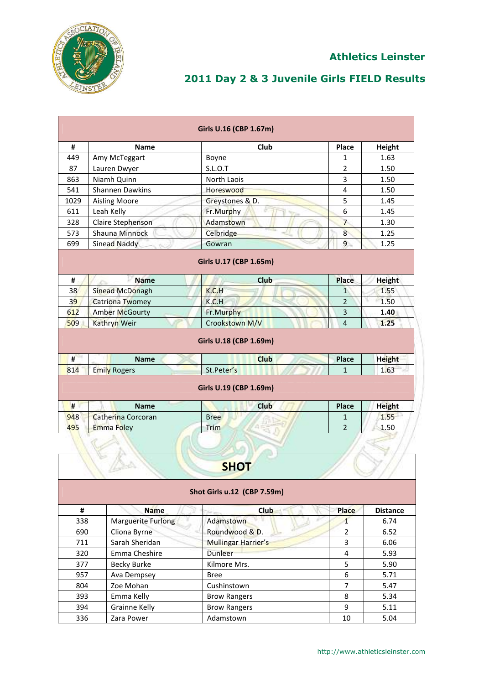

|      |                        | Girls U.16 (CBP 1.67m)         |                |               |
|------|------------------------|--------------------------------|----------------|---------------|
| #    | <b>Name</b>            | Club                           | Place          | Height        |
| 449  | Amy McTeggart          | Boyne                          | $\mathbf{1}$   | 1.63          |
| 87   | Lauren Dwyer           | S.L.O.T                        | $\overline{2}$ | 1.50          |
| 863  | Niamh Quinn            | North Laois                    | 3              | 1.50          |
| 541  | <b>Shannen Dawkins</b> | Horeswood                      | $\overline{4}$ | 1.50          |
| 1029 | <b>Aisling Moore</b>   | Greystones & D.                | 5              | 1.45          |
| 611  | Leah Kelly             | Fr.Murphy                      | 6              | 1.45          |
| 328  | Claire Stephenson      | Adamstown                      | $\overline{7}$ | 1.30          |
| 573  | Shauna Minnock         | Celbridge                      | 8 <sup>1</sup> | 1.25          |
| 699  | Sinead Naddy           | Gowran                         | $\overline{9}$ | 1.25          |
| #    | <b>Name</b>            | Girls U.17 (CBP 1.65m)<br>Club | <b>Place</b>   | <b>Height</b> |
| 38   | <b>Sinead McDonagh</b> | K.C.H                          | $1^{\circ}$    | 1.55          |
| 39   | <b>Catriona Twomey</b> | K.C.H                          | $\overline{2}$ | 1.50          |
| 612  | <b>Amber McGourty</b>  | Fr.Murphy                      | 3              | 1.40          |
| 509  | Kathryn Weir           | Crookstown M/V                 | $\overline{4}$ | 1.25          |
|      |                        | Girls U.18 (CBP 1.69m)         |                |               |
| #    | <b>Name</b>            | <b>Club</b>                    | <b>Place</b>   | <b>Height</b> |
| 814  | <b>Emily Rogers</b>    | St.Peter's                     | $\mathbf{1}$   | 1.63          |
|      |                        | Girls U.19 (CBP 1.69m)         |                |               |
| #    | <b>Name</b>            | <b>Club</b>                    | <b>Place</b>   | <b>Height</b> |
| 948  | Catherina Corcoran     | <b>Bree</b>                    | $\mathbf{1}$   | 1.55          |
| 495  | <b>Emma Foley</b>      | Trim                           | $\overline{2}$ | 1.50          |
|      |                        |                                |                |               |

|     |                             | <b>SHOT</b>         |               |                 |  |  |
|-----|-----------------------------|---------------------|---------------|-----------------|--|--|
|     | Shot Girls u.12 (CBP 7.59m) |                     |               |                 |  |  |
| #   | <b>Name</b>                 | <b>Club</b>         | <b>Place</b>  | <b>Distance</b> |  |  |
| 338 | Marguerite Furlong          | Adamstown           |               | 6.74            |  |  |
| 690 | Cliona Byrne                | Roundwood & D.      | $\mathcal{P}$ | 6.52            |  |  |
| 711 | Sarah Sheridan              | Mullingar Harrier's | 3             | 6.06            |  |  |
| 320 | Emma Cheshire               | <b>Dunleer</b>      | 4             | 5.93            |  |  |
| 377 | <b>Becky Burke</b>          | Kilmore Mrs.        | 5             | 5.90            |  |  |
| 957 | Ava Dempsey                 | <b>Bree</b>         | 6             | 5.71            |  |  |
| 804 | Zoe Mohan                   | Cushinstown         | 7             | 5.47            |  |  |
| 393 | Emma Kelly                  | <b>Brow Rangers</b> | 8             | 5.34            |  |  |
| 394 | Grainne Kelly               | <b>Brow Rangers</b> | 9             | 5.11            |  |  |
| 336 | Zara Power                  | Adamstown           | 10            | 5.04            |  |  |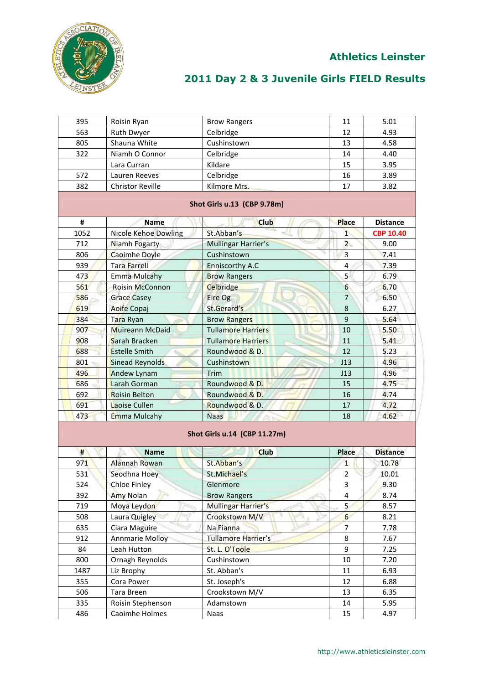

| 395  | Roisin Ryan                 | <b>Brow Rangers</b>          | 11               | 5.01             |
|------|-----------------------------|------------------------------|------------------|------------------|
| 563  | Ruth Dwyer                  | Celbridge                    | 12               | 4.93             |
| 805  | Shauna White                | Cushinstown                  | 13               | 4.58             |
| 322  | Niamh O Connor              | Celbridge                    | 14               | 4.40             |
|      | Lara Curran                 | Kildare                      | 15               | 3.95             |
| 572  | Lauren Reeves               | Celbridge                    | 16               | 3.89             |
| 382  | <b>Christor Reville</b>     | Kilmore Mrs.                 | 17               | 3.82             |
|      |                             | Shot Girls u.13 (CBP 9.78m)  |                  |                  |
| #    | Name                        | <b>Club</b>                  | <b>Place</b>     | <b>Distance</b>  |
| 1052 | <b>Nicole Kehoe Dowling</b> | St.Abban's                   | $\mathbf{1}$     | <b>CBP 10.40</b> |
| 712  | Niamh Fogarty               | Mullingar Harrier's          | $\overline{2}$   | 9.00             |
| 806  | Caoimhe Doyle               | Cushinstown                  | $\overline{3}$   | 7.41             |
| 939  | <b>Tara Farrell</b>         | Enniscorthy A.C              | $\overline{4}$   | 7.39             |
| 473  | <b>Emma Mulcahy</b>         | <b>Brow Rangers</b>          | 5                | 6.79             |
| 561  | <b>Roisin McConnon</b>      | Celbridge                    | 6                | 6.70             |
| 586  | <b>Grace Casey</b>          | Eire Og                      | $\overline{7}$   | 6.50             |
| 619  | Aoife Copaj                 | St.Gerard's                  | 8                | 6.27             |
| 384  | Tara Ryan                   | <b>Brow Rangers</b>          | 9                | 5.64             |
| 907  | Muireann McDaid             | <b>Tullamore Harriers</b>    | 10               | 5.50             |
| 908  | Sarah Bracken               | <b>Tullamore Harriers</b>    | 11               | 5.41             |
| 688  | <b>Estelle Smith</b>        | Roundwood & D.               | 12               | 5.23             |
| 801  | Sinead Reynolds             | Cushinstown                  | J13              | 4.96             |
| 496  | Andew Lynam                 | Trim                         | J13              | 4.96             |
| 686  | Larah Gorman                | Roundwood & D.               | 15               | 4.75             |
| 692  | <b>Roisin Belton</b>        | Roundwood & D.               | 16               | 4.74             |
| 691  | Laoise Cullen               | Roundwood & D.               | 17               | 4.72             |
| 473  | Emma Mulcahy                | <b>Naas</b>                  | 18               | 4.62             |
|      |                             | Shot Girls u.14 (CBP 11.27m) |                  |                  |
| #    | <b>Name</b>                 | <b>Club</b>                  | <b>Place</b>     | <b>Distance</b>  |
| 971  | Alannah Rowan               | St.Abban's                   | 1                | 10.78            |
| 531  | Seodhna Hoey                | St.Michael's                 | 2                | 10.01            |
| 524  | <b>Chloe Finley</b>         | Glenmore                     | 3                | 9.30             |
| 392  | <b>Amy Nolan</b>            | <b>Brow Rangers</b>          | 4                | 8.74             |
| 719  | Moya Leydon                 | Mullingar Harrier's          | 5                | 8.57             |
| 508  | Laura Quigley               | Crookstown M/V               | $6 \overline{6}$ | 8.21             |
| 635  | Ciara Maguire               | Na Fianna                    | 7                | 7.78             |
| 912  | <b>Annmarie Molloy</b>      | Tullamore Harrier's          | 8                | 7.67             |
| 84   | Leah Hutton                 | St. L. O'Toole               | 9                | 7.25             |
| 800  | Ornagh Reynolds             | Cushinstown                  | 10               | 7.20             |
| 1487 | Liz Brophy                  | St. Abban's                  | 11               | 6.93             |
| 355  | Cora Power                  | St. Joseph's                 | 12               | 6.88             |
| 506  | Tara Breen                  | Crookstown M/V               | 13               | 6.35             |
| 335  | Roisin Stephenson           | Adamstown                    | 14               | 5.95             |
| 486  | Caoimhe Holmes              | Naas                         | 15               | 4.97             |
|      |                             |                              |                  |                  |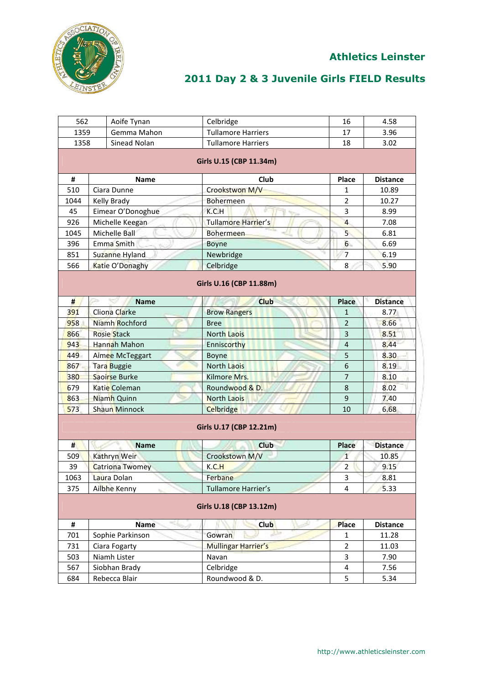

| 562  | Aoife Tynan          | Celbridge                  | 16             | 4.58            |
|------|----------------------|----------------------------|----------------|-----------------|
| 1359 | Gemma Mahon          | <b>Tullamore Harriers</b>  | 17             | 3.96            |
| 1358 | Sinead Nolan         | <b>Tullamore Harriers</b>  | 18             | 3.02            |
|      |                      | Girls U.15 (CBP 11.34m)    |                |                 |
| #    | Name                 | Club                       | Place          | <b>Distance</b> |
| 510  | Ciara Dunne          | Crookstwon M/V             | 1              | 10.89           |
| 1044 | Kelly Brady          | Bohermeen                  | $\overline{2}$ | 10.27           |
| 45   | Eimear O'Donoghue    | K.C.H<br>$\frac{1}{2}$     | 3              | 8.99            |
| 926  | Michelle Keegan      | <b>Tullamore Harrier's</b> | $\overline{4}$ | 7.08            |
| 1045 | Michelle Ball        | <b>Bohermeen</b>           | $\overline{5}$ | 6.81            |
| 396  | Emma Smith           | Boyne                      | 6              | 6.69            |
| 851  | Suzanne Hyland       | Newbridge                  | 7              | 6.19            |
| 566  | Katie O'Donaghy      | Celbridge                  | 8              | 5.90            |
|      |                      | Girls U.16 (CBP 11.88m)    |                |                 |
| #    | <b>Name</b>          | <b>Club</b>                | <b>Place</b>   | <b>Distance</b> |
| 391  | Cliona Clarke        | <b>Brow Rangers</b>        | $\mathbf{1}$   | 8.77            |
| 958  | Niamh Rochford       | <b>Bree</b>                | 2              | 8.66            |
| 866  | <b>Rosie Stack</b>   | <b>North Laois</b>         | $\overline{3}$ | 8.51            |
| 943  | Hannah Mahon         | Enniscorthy                | 4              | 8.44            |
| 449  | Aimee McTeggart      | <b>Boyne</b>               | 5              | 8.30            |
| 867  | <b>Tara Buggie</b>   | <b>North Laois</b>         | 6              | 8.19            |
| 380  | Saoirse Burke        | Kilmore Mrs.               | $\overline{7}$ | 8.10            |
| 679  | Katie Coleman        | Roundwood & D.             | 8              | 8.02            |
| 863  | Niamh Quinn          | <b>North Laois</b>         | 9              | 7.40            |
| 573  | <b>Shaun Minnock</b> | <b>Celbridge</b>           | 10             | 6.68            |
|      |                      | Girls U.17 (CBP 12.21m)    |                |                 |
| #    | <b>Name</b>          | <b>Club</b>                | <b>Place</b>   | <b>Distance</b> |
| 509  | Kathryn Weir         | Crookstown M/V             | $\overline{1}$ | 10.85           |
| 39   | Catriona Twomey      | K.C.H                      | $\overline{2}$ | 9.15            |
| 1063 | Laura Dolan          | Ferbane                    | 3              | 8.81            |
| 375  | Ailbhe Kenny         | Tullamore Harrier's        | 4              | 5.33            |
|      |                      | Girls U.18 (CBP 13.12m)    |                |                 |
| #    | Name                 | Club                       | <b>Place</b>   | <b>Distance</b> |
| 701  | Sophie Parkinson     | Gowran                     | 1              | 11.28           |
| 731  | Ciara Fogarty        | Mullingar Harrier's        | 2              | 11.03           |
| 503  | Niamh Lister         | Navan                      | 3              | 7.90            |
| 567  | Siobhan Brady        | Celbridge                  | 4              | 7.56            |
| 684  | Rebecca Blair        | Roundwood & D.             | 5              | 5.34            |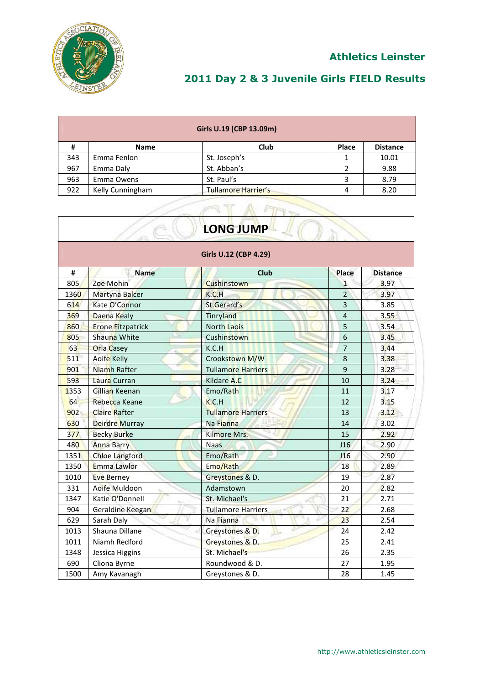

 $\sim$  and the set of  $\sim$ 

# **2011 Day 2 & 3 Juvenile Girls FIELD Results**

|     | Girls U.19 (CBP 13.09m) |                            |              |                 |  |
|-----|-------------------------|----------------------------|--------------|-----------------|--|
| #   | <b>Name</b>             | Club                       | <b>Place</b> | <b>Distance</b> |  |
| 343 | Emma Fenlon             | St. Joseph's               |              | 10.01           |  |
| 967 | Emma Daly               | St. Abban's                |              | 9.88            |  |
| 963 | Emma Owens              | St. Paul's                 |              | 8.79            |  |
| 922 | Kelly Cunningham        | <b>Tullamore Harrier's</b> | 4            | 8.20            |  |

ATATT

| <b>LONG JUMP</b>      |                          |                           |                |                 |  |
|-----------------------|--------------------------|---------------------------|----------------|-----------------|--|
| Girls U.12 (CBP 4.29) |                          |                           |                |                 |  |
| #                     | <b>Name</b>              | <b>Club</b>               | Place          | <b>Distance</b> |  |
| 805                   | Zoe Mohin                | Cushinstown               | $\mathbf{1}$   | 3.97            |  |
| 1360                  | <b>Martyna Balcer</b>    | K.C.H                     | $\overline{2}$ | 3.97            |  |
| 614                   | Kate O'Connor            | St.Gerard's               | $\overline{3}$ | 3.85            |  |
| 369                   | Daena Kealy              | Tinryland                 | $\overline{4}$ | 3.55            |  |
| 860                   | <b>Erone Fitzpatrick</b> | <b>North Laois</b>        | 5              | 3.54            |  |
| 805                   | Shauna White             | Cushinstown               | $6\phantom{1}$ | 3.45            |  |
| 63                    | <b>Orla Casey</b>        | K.C.H                     | $\overline{7}$ | 3.44            |  |
| 511                   | <b>Aoife Kelly</b>       | Crookstown M/W            | 8              | 3.38            |  |
| 901                   | Niamh Rafter             | <b>Tullamore Harriers</b> | 9              | 3.28            |  |
| 593                   | Laura Curran             | Kildare A.C               | 10             | 3.24            |  |
| 1353                  | Gillian Keenan           | Emo/Rath                  | 11             | 3.17            |  |
| 64                    | Rebecca Keane            | K.C.H                     | 12             | 3.15            |  |
| 902                   | <b>Claire Rafter</b>     | <b>Tullamore Harriers</b> | 13             | 3.12            |  |
| 630                   | Deirdre Murray           | Na Fianna                 | 14             | 3.02            |  |
| 377                   | <b>Becky Burke</b>       | Kilmore Mrs.              | 15             | 2.92            |  |
| 480                   | <b>Anna Barry</b>        | <b>Naas</b>               | J16            | 2.90            |  |
| 1351                  | <b>Chloe Langford</b>    | Emo/Rath                  | J16            | 2.90            |  |
| 1350                  | Emma Lawlor              | Emo/Rath                  | 18             | 2.89            |  |
| 1010                  | <b>Eve Berney</b>        | Greystones & D.           | 19             | 2.87            |  |
| 331                   | Aoife Muldoon            | Adamstown                 | 20             | 2.82            |  |
| 1347                  | Katie O'Donnell          | St. Michael's             | 21             | 2.71            |  |
| 904                   | Geraldine Keegan         | <b>Tullamore Harriers</b> | 22             | 2.68            |  |
| 629                   | Sarah Daly               | Na Fianna                 | 23             | 2.54            |  |
| 1013                  | Shauna Dillane           | Greystones & D.           | 24             | 2.42            |  |
| 1011                  | Niamh Redford            | Greystones & D.           | 25             | 2.41            |  |
| 1348                  | Jessica Higgins          | St. Michael's             | 26             | 2.35            |  |
| 690                   | Cliona Byrne             | Roundwood & D.            | 27             | 1.95            |  |
| 1500                  | Amy Kavanagh             | Greystones & D.           | 28             | 1.45            |  |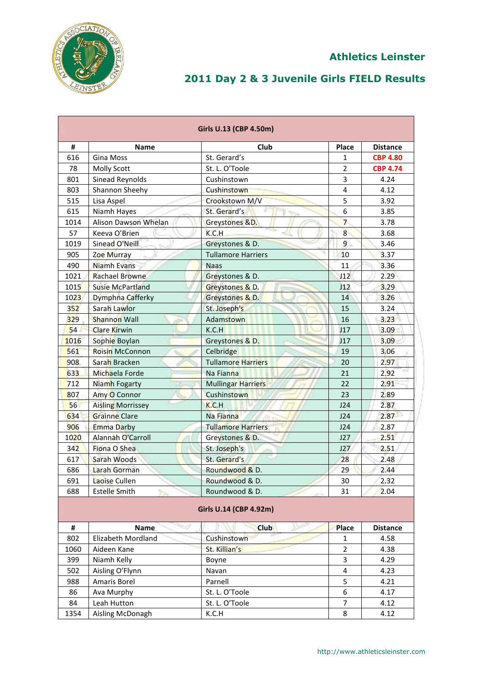

|      |                          | Girls U.13 (CBP 4.50m)    |                |                 |
|------|--------------------------|---------------------------|----------------|-----------------|
| #    | <b>Name</b>              | Club                      | Place          | <b>Distance</b> |
| 616  | <b>Gina Moss</b>         | St. Gerard's              | 1              | <b>CBP 4.80</b> |
| 78   | <b>Molly Scott</b>       | St. L. O'Toole            | $\overline{2}$ | <b>CBP 4.74</b> |
| 801  | Sinead Reynolds          | Cushinstown               | 3              | 4.24            |
| 803  | Shannon Sheehy           | Cushinstown               | 4              | 4.12            |
| 515  | Lisa Aspel               | Crookstown M/V            | 5              | 3.92            |
| 615  | Niamh Hayes              | St. Gerard's              | 6              | 3.85            |
| 1014 | Alison Dawson Whelan     | Greystones &D.            | $\overline{7}$ | 3.78            |
| 57   | Keeva O'Brien            | K.C.H                     | $\overline{8}$ | 3.68            |
| 1019 | Sinead O'Neill<br>0.6    | Greystones & D.           | $\overline{9}$ | 3.46            |
| 905  | <b>Zoe Murray</b>        | <b>Tullamore Harriers</b> | 10             | 3.37            |
| 490  | <b>Niamh Evans</b>       | <b>Naas</b>               | 11             | 3.36            |
| 1021 | <b>Rachael Browne</b>    | Greystones & D.           | J12            | 2.29            |
| 1015 | <b>Susie McPartland</b>  | Greystones & D.           | J12            | 3.29            |
| 1023 | Dymphna Cafferky         | Greystones & D.           | 14             | 3.26            |
| 352  | Sarah Lawlor             | St. Joseph's              | 15             | 3.24            |
| 329  | <b>Shannon Wall</b>      | Adamstown                 | 16             | 3.23            |
| 54   | <b>Clare Kirwin</b>      | K.C.H                     | J17            | 3.09            |
| 1016 | Sophie Boylan            | Greystones & D.           | J17            | 3.09            |
| 561  | <b>Roisin McConnon</b>   | Celbridge                 | 19             | 3.06            |
| 908  | Sarah Bracken            | <b>Tullamore Harriers</b> | 20             | 2.97            |
| 633  | Michaela Forde           | Na Fianna                 | 21             | 2.92            |
| 712  | Niamh Fogarty            | <b>Mullingar Harriers</b> | 22             | 2.91            |
| 807  | Amy O Connor             | Cushinstown               | 23             | 2.89            |
| 56   | <b>Aisling Morrissey</b> | K.C.H                     | J24            | 2.87            |
| 634  | <b>Grainne Clare</b>     | Na Fianna                 | J24            | 2.87            |
| 906  | <b>Emma Darby</b>        | <b>Tullamore Harriers</b> | J24            | 2.87            |
| 1020 | Alannah O'Carroll        | Greystones & D.           | J27            | 2.51            |
| 342  | Fiona O Shea             | St. Joseph's              | J27            | 2.51            |
| 617  | Sarah Woods              | St. Gerard's              | 28             | 2.48            |
| 686  | Larah Gorman             | Roundwood & D.            | 29             | 2.44            |
| 691  | Laoise Cullen            | Roundwood & D.            | 30             | 2.32            |
| 688  | <b>Estelle Smith</b>     | Roundwood & D.            | 31             | 2.04            |
|      |                          | Girls U.14 (CBP 4.92m)    |                |                 |
| #    | Name                     | <b>Club</b>               | <b>Place</b>   | <b>Distance</b> |
| 802  | Elizabeth Mordland       | Cushinstown               | 1              | 4.58            |
| 1060 | Aideen Kane              | St. Killian's             | $\overline{2}$ | 4.38            |
| 399  | Niamh Kelly              | Boyne                     | 3              | 4.29            |
| 502  | Aisling O'Flynn          | Navan                     | 4              | 4.23            |
| 988  | Amaris Borel             | Parnell                   | 5              | 4.21            |
| 86   | Ava Murphy               | St. L. O'Toole            | 6              | 4.17            |
| 84   | Leah Hutton              | St. L. O'Toole            | 7              | 4.12            |
| 1354 | Aisling McDonagh         | K.C.H                     | 8              | 4.12            |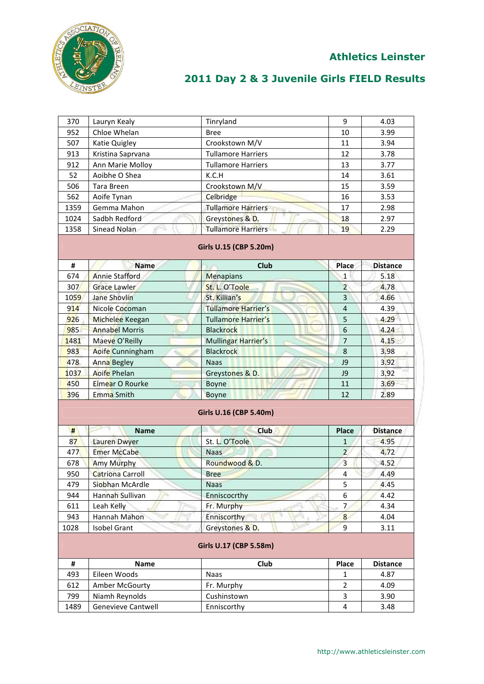

#### **Athletics Leinster**

| 370<br>Tinryland<br>Lauryn Kealy<br>952<br>Chloe Whelan<br><b>Bree</b><br>507<br>Crookstown M/V<br>Katie Quigley<br>913<br><b>Tullamore Harriers</b><br>Kristina Saprvana<br>912<br>Ann Marie Molloy<br><b>Tullamore Harriers</b><br>52<br>Aoibhe O Shea<br>K.C.H | 9<br>10<br>11<br>12     | 4.03<br>3.99    |
|-------------------------------------------------------------------------------------------------------------------------------------------------------------------------------------------------------------------------------------------------------------------|-------------------------|-----------------|
|                                                                                                                                                                                                                                                                   |                         |                 |
|                                                                                                                                                                                                                                                                   |                         |                 |
|                                                                                                                                                                                                                                                                   |                         | 3.94            |
|                                                                                                                                                                                                                                                                   |                         | 3.78            |
|                                                                                                                                                                                                                                                                   | 13                      | 3.77            |
|                                                                                                                                                                                                                                                                   | 14                      | 3.61            |
| Crookstown M/V<br>506<br>Tara Breen                                                                                                                                                                                                                               | 15                      | 3.59            |
| 562<br>Aoife Tynan<br>Celbridge                                                                                                                                                                                                                                   | 16                      | 3.53            |
| <b>Tullamore Harriers</b><br>1359<br>Gemma Mahon                                                                                                                                                                                                                  | 17                      | 2.98            |
| 1024<br>Sadbh Redford<br>Greystones & D.                                                                                                                                                                                                                          | 18                      | 2.97            |
| 1358<br><b>Tullamore Harriers</b><br>Sinead Nolan                                                                                                                                                                                                                 | 19                      | 2.29            |
| Girls U.15 (CBP 5.20m)                                                                                                                                                                                                                                            |                         |                 |
| <b>Club</b><br>#<br><b>Name</b>                                                                                                                                                                                                                                   | Place                   | <b>Distance</b> |
| <b>Annie Stafford</b><br>674<br><b>Menapians</b>                                                                                                                                                                                                                  | $\mathbf{1}$            | 5.18            |
| 307<br>St. L. O'Toole<br><b>Grace Lawler</b>                                                                                                                                                                                                                      | $\overline{2}$          | 4.78            |
| St. Killian's<br>1059<br><b>Jane Shovlin</b>                                                                                                                                                                                                                      | 3                       | 4.66            |
| 914<br><b>Tullamore Harrier's</b><br>Nicole Cocoman                                                                                                                                                                                                               | $\overline{4}$          | 4.39            |
| Tullamore Harrier's<br>926<br>Michelee Keegan                                                                                                                                                                                                                     | 5                       | 4.29            |
| 985<br><b>Annabel Morris</b><br><b>Blackrock</b>                                                                                                                                                                                                                  | 6                       | 4.24            |
| 1481<br>Mullingar Harrier's<br>Maeve O'Reilly                                                                                                                                                                                                                     | $\overline{7}$          | 4.15            |
| 983<br>Aoife Cunningham<br><b>Blackrock</b>                                                                                                                                                                                                                       | 8                       | 3.98            |
| 478<br><b>Anna Begley</b><br><b>Naas</b>                                                                                                                                                                                                                          | J9                      | 3.92            |
| 1037<br><b>Aoife Phelan</b><br>Greystones & D.                                                                                                                                                                                                                    | J9                      | 3.92            |
| 450<br>Eimear O Rourke<br>Boyne                                                                                                                                                                                                                                   |                         |                 |
|                                                                                                                                                                                                                                                                   | 11                      | 3.69            |
| 396<br>Emma Smith<br>Boyne                                                                                                                                                                                                                                        | 12                      | 2.89            |
| Girls U.16 (CBP 5.40m)                                                                                                                                                                                                                                            |                         |                 |
| #<br>Club<br><b>Name</b>                                                                                                                                                                                                                                          | <b>Place</b>            | <b>Distance</b> |
| 87<br>St. L. O'Toole<br><b>Lauren Dwyer</b>                                                                                                                                                                                                                       | 1                       | 4.95            |
| 477<br><b>Emer McCabe</b><br><b>Naas</b>                                                                                                                                                                                                                          | $\overline{2}$          | 4.72            |
| Roundwood & D.<br>678<br><b>Amy Murphy</b>                                                                                                                                                                                                                        | 3                       | 4.52            |
| 950<br><b>Catriona Carroll</b><br><b>Bree</b>                                                                                                                                                                                                                     | $\overline{\mathbf{4}}$ | 4.49            |
| 479<br>Siobhan McArdle<br><b>Naas</b>                                                                                                                                                                                                                             | 5                       | 4.45            |
| 944<br>Hannah Sullivan<br>Enniscocrthy                                                                                                                                                                                                                            | 6                       | 4.42            |
| 611<br>Leah Kelly<br>Fr. Murphy                                                                                                                                                                                                                                   | 7                       | 4.34            |
| 943<br>Hannah Mahon<br>Enniscorthy                                                                                                                                                                                                                                | 8                       | 4.04            |
| 1028<br><b>Isobel Grant</b><br>Greystones & D.                                                                                                                                                                                                                    | 9                       | 3.11            |
| Girls U.17 (CBP 5.58m)                                                                                                                                                                                                                                            |                         |                 |
| #<br>Club<br>Name                                                                                                                                                                                                                                                 | Place                   | <b>Distance</b> |
| 493<br>Eileen Woods<br>Naas                                                                                                                                                                                                                                       | 1                       | 4.87            |
| 612<br>Fr. Murphy<br>Amber McGourty                                                                                                                                                                                                                               | $\overline{2}$          | 4.09            |
| 799<br>Niamh Reynolds<br>Cushinstown                                                                                                                                                                                                                              | 3                       | 3.90            |